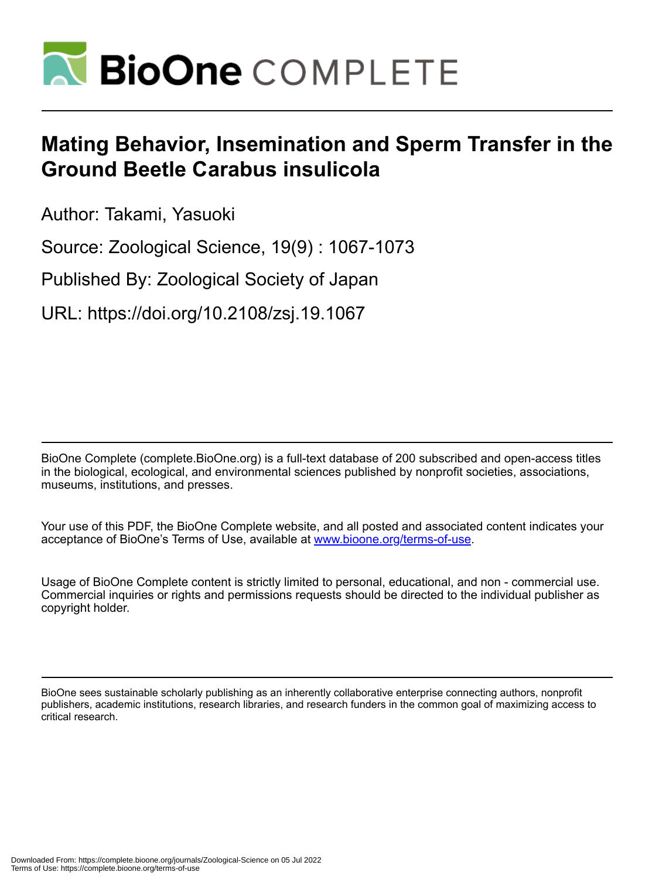

# **Mating Behavior, Insemination and Sperm Transfer in the Ground Beetle Carabus insulicola**

Author: Takami, Yasuoki

Source: Zoological Science, 19(9) : 1067-1073

Published By: Zoological Society of Japan

URL: https://doi.org/10.2108/zsj.19.1067

BioOne Complete (complete.BioOne.org) is a full-text database of 200 subscribed and open-access titles in the biological, ecological, and environmental sciences published by nonprofit societies, associations, museums, institutions, and presses.

Your use of this PDF, the BioOne Complete website, and all posted and associated content indicates your acceptance of BioOne's Terms of Use, available at www.bioone.org/terms-of-use.

Usage of BioOne Complete content is strictly limited to personal, educational, and non - commercial use. Commercial inquiries or rights and permissions requests should be directed to the individual publisher as copyright holder.

BioOne sees sustainable scholarly publishing as an inherently collaborative enterprise connecting authors, nonprofit publishers, academic institutions, research libraries, and research funders in the common goal of maximizing access to critical research.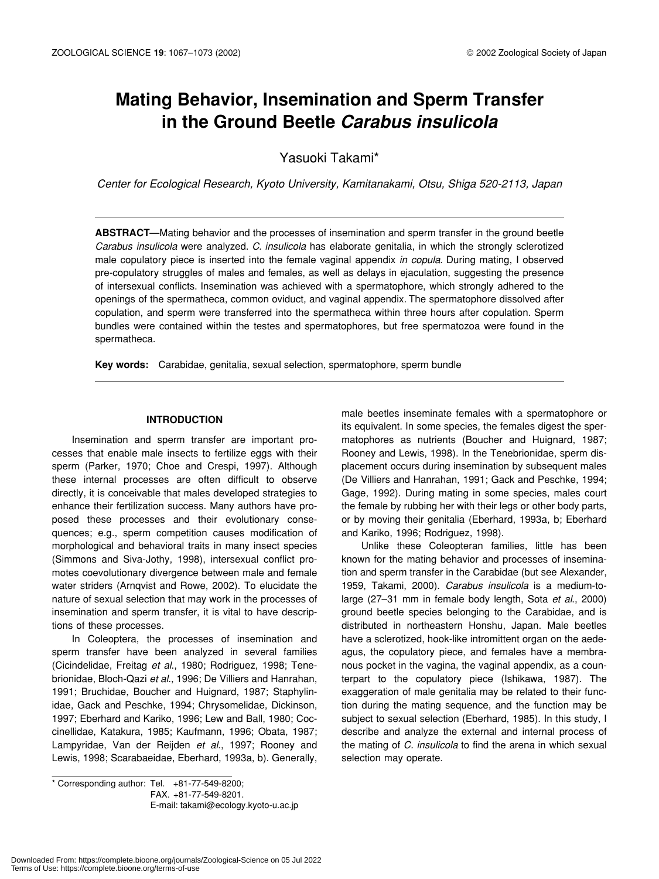# **Mating Behavior, Insemination and Sperm Transfer in the Ground Beetle** *Carabus insulicola*

Yasuoki Takami\*

*Center for Ecological Research, Kyoto University, Kamitanakami, Otsu, Shiga 520-2113, Japan*

**ABSTRACT**—Mating behavior and the processes of insemination and sperm transfer in the ground beetle *Carabus insulicola* were analyzed. *C. insulicola* has elaborate genitalia, in which the strongly sclerotized male copulatory piece is inserted into the female vaginal appendix *in copula*. During mating, I observed pre-copulatory struggles of males and females, as well as delays in ejaculation, suggesting the presence of intersexual conflicts. Insemination was achieved with a spermatophore, which strongly adhered to the openings of the spermatheca, common oviduct, and vaginal appendix. The spermatophore dissolved after copulation, and sperm were transferred into the spermatheca within three hours after copulation. Sperm bundles were contained within the testes and spermatophores, but free spermatozoa were found in the spermatheca.

**Key words:** Carabidae, genitalia, sexual selection, spermatophore, sperm bundle

# **INTRODUCTION**

Insemination and sperm transfer are important processes that enable male insects to fertilize eggs with their sperm (Parker, 1970; Choe and Crespi, 1997). Although these internal processes are often difficult to observe directly, it is conceivable that males developed strategies to enhance their fertilization success. Many authors have proposed these processes and their evolutionary consequences; e.g., sperm competition causes modification of morphological and behavioral traits in many insect species (Simmons and Siva-Jothy, 1998), intersexual conflict promotes coevolutionary divergence between male and female water striders (Arnqvist and Rowe, 2002). To elucidate the nature of sexual selection that may work in the processes of insemination and sperm transfer, it is vital to have descriptions of these processes.

In Coleoptera, the processes of insemination and sperm transfer have been analyzed in several families (Cicindelidae, Freitag *et al*., 1980; Rodriguez, 1998; Tenebrionidae, Bloch-Qazi *et al*., 1996; De Villiers and Hanrahan, 1991; Bruchidae, Boucher and Huignard, 1987; Staphylinidae, Gack and Peschke, 1994; Chrysomelidae, Dickinson, 1997; Eberhard and Kariko, 1996; Lew and Ball, 1980; Coccinellidae, Katakura, 1985; Kaufmann, 1996; Obata, 1987; Lampyridae, Van der Reijden *et al*., 1997; Rooney and Lewis, 1998; Scarabaeidae, Eberhard, 1993a, b). Generally,

\* Corresponding author: Tel. +81-77-549-8200; FAX. +81-77-549-8201. E-mail: takami@ecology.kyoto-u.ac.jp male beetles inseminate females with a spermatophore or its equivalent. In some species, the females digest the spermatophores as nutrients (Boucher and Huignard, 1987; Rooney and Lewis, 1998). In the Tenebrionidae, sperm displacement occurs during insemination by subsequent males (De Villiers and Hanrahan, 1991; Gack and Peschke, 1994; Gage, 1992). During mating in some species, males court the female by rubbing her with their legs or other body parts, or by moving their genitalia (Eberhard, 1993a, b; Eberhard and Kariko, 1996; Rodriguez, 1998).

Unlike these Coleopteran families, little has been known for the mating behavior and processes of insemination and sperm transfer in the Carabidae (but see Alexander, 1959, Takami, 2000). *Carabus insulicola* is a medium-tolarge (27–31 mm in female body length, Sota *et al*., 2000) ground beetle species belonging to the Carabidae, and is distributed in northeastern Honshu, Japan. Male beetles have a sclerotized, hook-like intromittent organ on the aedeagus, the copulatory piece, and females have a membranous pocket in the vagina, the vaginal appendix, as a counterpart to the copulatory piece (Ishikawa, 1987). The exaggeration of male genitalia may be related to their function during the mating sequence, and the function may be subject to sexual selection (Eberhard, 1985). In this study, I describe and analyze the external and internal process of the mating of *C. insulicola* to find the arena in which sexual selection may operate.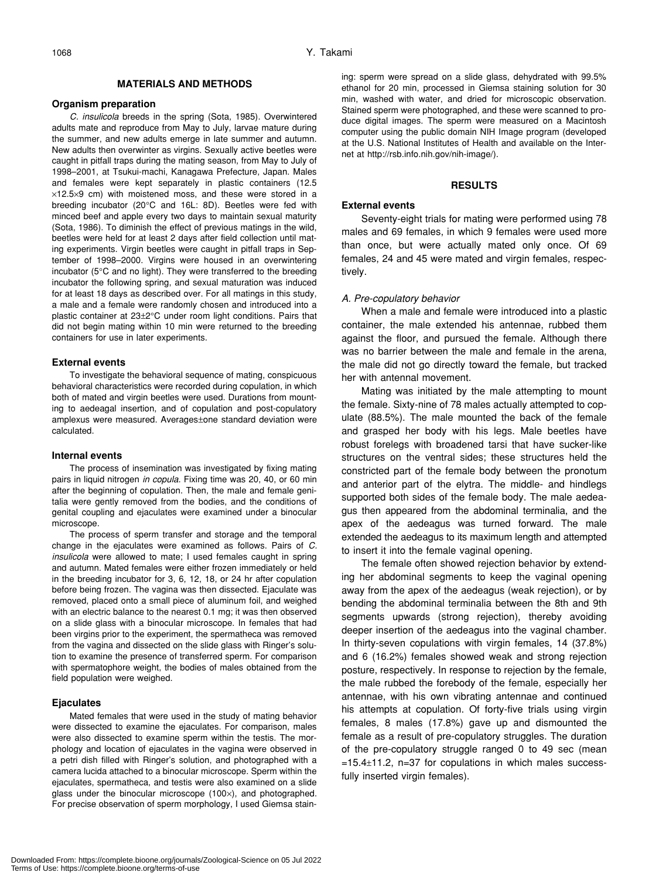# **MATERIALS AND METHODS**

# **Organism preparation**

*C. insulicola* breeds in the spring (Sota, 1985). Overwintered adults mate and reproduce from May to July, larvae mature during the summer, and new adults emerge in late summer and autumn. New adults then overwinter as virgins. Sexually active beetles were caught in pitfall traps during the mating season, from May to July of 1998–2001, at Tsukui-machi, Kanagawa Prefecture, Japan. Males and females were kept separately in plastic containers (12.5 ×12.5×9 cm) with moistened moss, and these were stored in a breeding incubator (20°C and 16L: 8D). Beetles were fed with minced beef and apple every two days to maintain sexual maturity (Sota, 1986). To diminish the effect of previous matings in the wild, beetles were held for at least 2 days after field collection until mating experiments. Virgin beetles were caught in pitfall traps in September of 1998–2000. Virgins were housed in an overwintering incubator (5°C and no light). They were transferred to the breeding incubator the following spring, and sexual maturation was induced for at least 18 days as described over. For all matings in this study, a male and a female were randomly chosen and introduced into a plastic container at 23±2°C under room light conditions. Pairs that did not begin mating within 10 min were returned to the breeding containers for use in later experiments.

# **External events**

To investigate the behavioral sequence of mating, conspicuous behavioral characteristics were recorded during copulation, in which both of mated and virgin beetles were used. Durations from mounting to aedeagal insertion, and of copulation and post-copulatory amplexus were measured. Averages±one standard deviation were calculated.

#### **Internal events**

The process of insemination was investigated by fixing mating pairs in liquid nitrogen *in copula*. Fixing time was 20, 40, or 60 min after the beginning of copulation. Then, the male and female genitalia were gently removed from the bodies, and the conditions of genital coupling and ejaculates were examined under a binocular microscope.

The process of sperm transfer and storage and the temporal change in the ejaculates were examined as follows. Pairs of *C. insulicola* were allowed to mate; I used females caught in spring and autumn. Mated females were either frozen immediately or held in the breeding incubator for 3, 6, 12, 18, or 24 hr after copulation before being frozen. The vagina was then dissected. Ejaculate was removed, placed onto a small piece of aluminum foil, and weighed with an electric balance to the nearest 0.1 mg; it was then observed on a slide glass with a binocular microscope. In females that had been virgins prior to the experiment, the spermatheca was removed from the vagina and dissected on the slide glass with Ringer's solution to examine the presence of transferred sperm. For comparison with spermatophore weight, the bodies of males obtained from the field population were weighed.

#### **Ejaculates**

Mated females that were used in the study of mating behavior were dissected to examine the ejaculates. For comparison, males were also dissected to examine sperm within the testis. The morphology and location of ejaculates in the vagina were observed in a petri dish filled with Ringer's solution, and photographed with a camera lucida attached to a binocular microscope. Sperm within the ejaculates, spermatheca, and testis were also examined on a slide glass under the binocular microscope (100×), and photographed. For precise observation of sperm morphology, I used Giemsa staining: sperm were spread on a slide glass, dehydrated with 99.5% ethanol for 20 min, processed in Giemsa staining solution for 30 min, washed with water, and dried for microscopic observation. Stained sperm were photographed, and these were scanned to produce digital images. The sperm were measured on a Macintosh computer using the public domain NIH Image program (developed at the U.S. National Institutes of Health and available on the Internet at http://rsb.info.nih.gov/nih-image/).

#### **RESULTS**

# **External events**

Seventy-eight trials for mating were performed using 78 males and 69 females, in which 9 females were used more than once, but were actually mated only once. Of 69 females, 24 and 45 were mated and virgin females, respectively.

#### *A. Pre-copulatory behavior*

When a male and female were introduced into a plastic container, the male extended his antennae, rubbed them against the floor, and pursued the female. Although there was no barrier between the male and female in the arena, the male did not go directly toward the female, but tracked her with antennal movement.

Mating was initiated by the male attempting to mount the female. Sixty-nine of 78 males actually attempted to copulate (88.5%). The male mounted the back of the female and grasped her body with his legs. Male beetles have robust forelegs with broadened tarsi that have sucker-like structures on the ventral sides; these structures held the constricted part of the female body between the pronotum and anterior part of the elytra. The middle- and hindlegs supported both sides of the female body. The male aedeagus then appeared from the abdominal terminalia, and the apex of the aedeagus was turned forward. The male extended the aedeagus to its maximum length and attempted to insert it into the female vaginal opening.

The female often showed rejection behavior by extending her abdominal segments to keep the vaginal opening away from the apex of the aedeagus (weak rejection), or by bending the abdominal terminalia between the 8th and 9th segments upwards (strong rejection), thereby avoiding deeper insertion of the aedeagus into the vaginal chamber. In thirty-seven copulations with virgin females, 14 (37.8%) and 6 (16.2%) females showed weak and strong rejection posture, respectively. In response to rejection by the female, the male rubbed the forebody of the female, especially her antennae, with his own vibrating antennae and continued his attempts at copulation. Of forty-five trials using virgin females, 8 males (17.8%) gave up and dismounted the female as a result of pre-copulatory struggles. The duration of the pre-copulatory struggle ranged 0 to 49 sec (mean =15.4±11.2, n=37 for copulations in which males successfully inserted virgin females).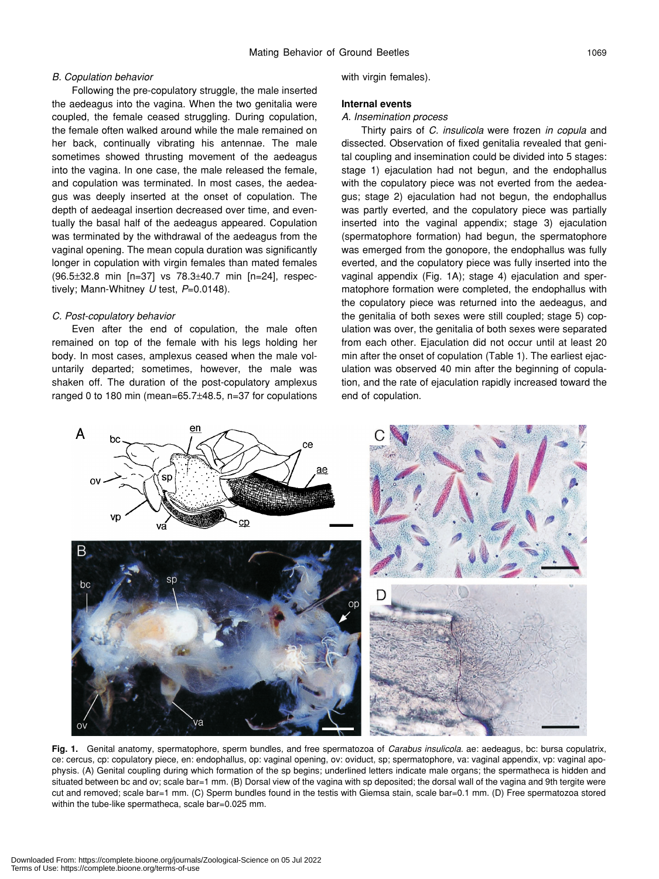# *B. Copulation behavior*

Following the pre-copulatory struggle, the male inserted the aedeagus into the vagina. When the two genitalia were coupled, the female ceased struggling. During copulation, the female often walked around while the male remained on her back, continually vibrating his antennae. The male sometimes showed thrusting movement of the aedeagus into the vagina. In one case, the male released the female, and copulation was terminated. In most cases, the aedeagus was deeply inserted at the onset of copulation. The depth of aedeagal insertion decreased over time, and eventually the basal half of the aedeagus appeared. Copulation was terminated by the withdrawal of the aedeagus from the vaginal opening. The mean copula duration was significantly longer in copulation with virgin females than mated females (96.5±32.8 min [n=37] vs 78.3±40.7 min [n=24], respectively; Mann-Whitney *U* test, *P*=0.0148).

#### *C. Post-copulatory behavior*

Even after the end of copulation, the male often remained on top of the female with his legs holding her body. In most cases, amplexus ceased when the male voluntarily departed; sometimes, however, the male was shaken off. The duration of the post-copulatory amplexus ranged 0 to 180 min (mean=65.7±48.5, n=37 for copulations with virgin females).

# **Internal events**

### *A. Insemination process*

Thirty pairs of *C. insulicola* were frozen *in copula* and dissected. Observation of fixed genitalia revealed that genital coupling and insemination could be divided into 5 stages: stage 1) ejaculation had not begun, and the endophallus with the copulatory piece was not everted from the aedeagus; stage 2) ejaculation had not begun, the endophallus was partly everted, and the copulatory piece was partially inserted into the vaginal appendix; stage 3) ejaculation (spermatophore formation) had begun, the spermatophore was emerged from the gonopore, the endophallus was fully everted, and the copulatory piece was fully inserted into the vaginal appendix (Fig. 1A); stage 4) ejaculation and spermatophore formation were completed, the endophallus with the copulatory piece was returned into the aedeagus, and the genitalia of both sexes were still coupled; stage 5) copulation was over, the genitalia of both sexes were separated from each other. Ejaculation did not occur until at least 20 min after the onset of copulation (Table 1). The earliest ejaculation was observed 40 min after the beginning of copulation, and the rate of ejaculation rapidly increased toward the end of copulation.



**Fig. 1.** Genital anatomy, spermatophore, sperm bundles, and free spermatozoa of *Carabus insulicola*. ae: aedeagus, bc: bursa copulatrix, ce: cercus, cp: copulatory piece, en: endophallus, op: vaginal opening, ov: oviduct, sp; spermatophore, va: vaginal appendix, vp: vaginal apophysis. (A) Genital coupling during which formation of the sp begins; underlined letters indicate male organs; the spermatheca is hidden and situated between bc and ov; scale bar=1 mm. (B) Dorsal view of the vagina with sp deposited; the dorsal wall of the vagina and 9th tergite were cut and removed; scale bar=1 mm. (C) Sperm bundles found in the testis with Giemsa stain, scale bar=0.1 mm. (D) Free spermatozoa stored within the tube-like spermatheca, scale bar=0.025 mm.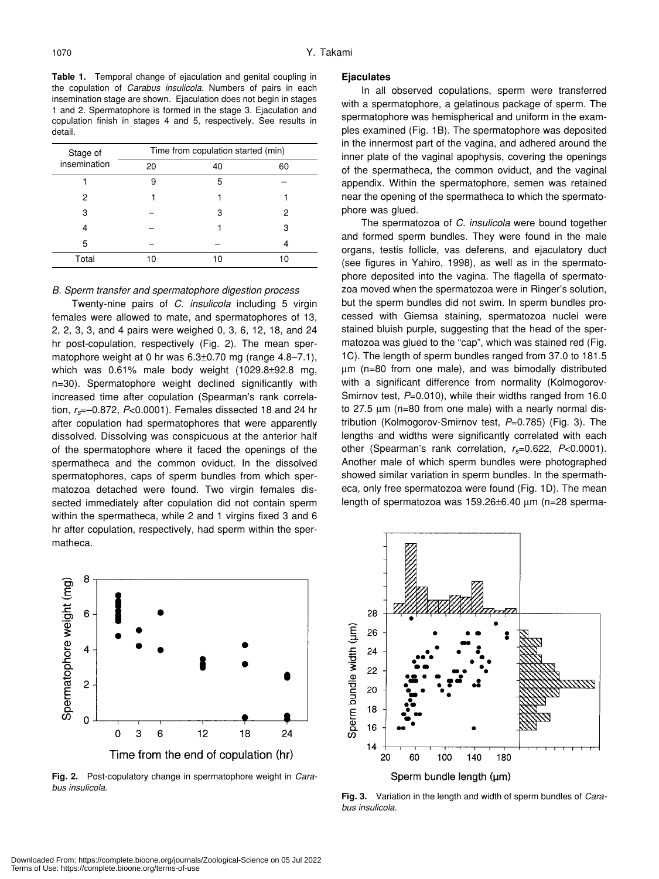**Table 1.** Temporal change of ejaculation and genital coupling in the copulation of *Carabus insulicola*. Numbers of pairs in each insemination stage are shown. Ejaculation does not begin in stages 1 and 2. Spermatophore is formed in the stage 3. Ejaculation and copulation finish in stages 4 and 5, respectively. See results in detail.

| Stage of<br>insemination | Time from copulation started (min) |     |    |
|--------------------------|------------------------------------|-----|----|
|                          | 20                                 | 40  | 60 |
|                          | 9                                  | 5   |    |
| 2                        |                                    |     |    |
| з                        |                                    | З   | 2  |
|                          |                                    |     | З  |
| 5                        |                                    |     |    |
| Total                    |                                    | 1 U | 10 |

#### *B. Sperm transfer and spermatophore digestion process*

Twenty-nine pairs of *C. insulicola* including 5 virgin females were allowed to mate, and spermatophores of 13, 2, 2, 3, 3, and 4 pairs were weighed 0, 3, 6, 12, 18, and 24 hr post-copulation, respectively (Fig. 2). The mean spermatophore weight at 0 hr was 6.3±0.70 mg (range 4.8–7.1), which was 0.61% male body weight (1029.8±92.8 mg, n=30). Spermatophore weight declined significantly with increased time after copulation (Spearman's rank correlation, *rs*=–0.872, *P*<0.0001). Females dissected 18 and 24 hr after copulation had spermatophores that were apparently dissolved. Dissolving was conspicuous at the anterior half of the spermatophore where it faced the openings of the spermatheca and the common oviduct. In the dissolved spermatophores, caps of sperm bundles from which spermatozoa detached were found. Two virgin females dissected immediately after copulation did not contain sperm within the spermatheca, while 2 and 1 virgins fixed 3 and 6 hr after copulation, respectively, had sperm within the spermatheca.



**Fig. 2.** Post-copulatory change in spermatophore weight in *Carabus insulicola*.

#### **Ejaculates**

In all observed copulations, sperm were transferred with a spermatophore, a gelatinous package of sperm. The spermatophore was hemispherical and uniform in the examples examined (Fig. 1B). The spermatophore was deposited in the innermost part of the vagina, and adhered around the inner plate of the vaginal apophysis, covering the openings of the spermatheca, the common oviduct, and the vaginal appendix. Within the spermatophore, semen was retained near the opening of the spermatheca to which the spermatophore was glued.

The spermatozoa of *C. insulicola* were bound together and formed sperm bundles. They were found in the male organs, testis follicle, vas deferens, and ejaculatory duct (see figures in Yahiro, 1998), as well as in the spermatophore deposited into the vagina. The flagella of spermatozoa moved when the spermatozoa were in Ringer's solution, but the sperm bundles did not swim. In sperm bundles processed with Giemsa staining, spermatozoa nuclei were stained bluish purple, suggesting that the head of the spermatozoa was glued to the "cap", which was stained red (Fig. 1C). The length of sperm bundles ranged from 37.0 to 181.5 µm (n=80 from one male), and was bimodally distributed with a significant difference from normality (Kolmogorov-Smirnov test,  $P=0.010$ ), while their widths ranged from 16.0 to 27.5 µm (n=80 from one male) with a nearly normal distribution (Kolmogorov-Smirnov test, *P*=0.785) (Fig. 3). The lengths and widths were significantly correlated with each other (Spearman's rank correlation, *rs*=0.622, *P*<0.0001). Another male of which sperm bundles were photographed showed similar variation in sperm bundles. In the spermatheca, only free spermatozoa were found (Fig. 1D). The mean length of spermatozoa was 159.26±6.40 µm (n=28 sperma-



**Fig. 3.** Variation in the length and width of sperm bundles of *Carabus insulicola*.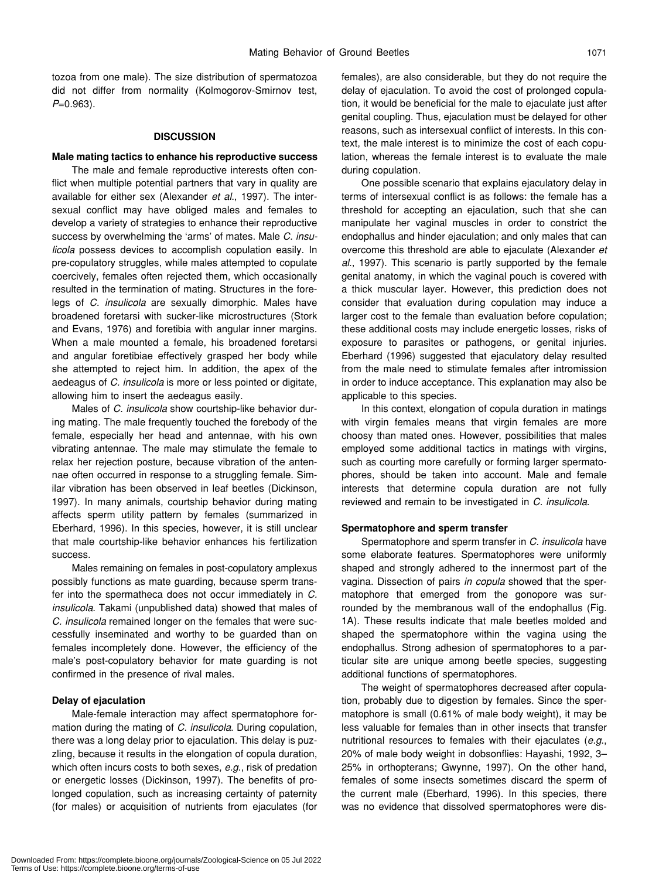tozoa from one male). The size distribution of spermatozoa did not differ from normality (Kolmogorov-Smirnov test, *P*=0.963).

# **DISCUSSION**

# **Male mating tactics to enhance his reproductive success**

The male and female reproductive interests often conflict when multiple potential partners that vary in quality are available for either sex (Alexander *et al*., 1997). The intersexual conflict may have obliged males and females to develop a variety of strategies to enhance their reproductive success by overwhelming the 'arms' of mates. Male *C. insulicola* possess devices to accomplish copulation easily. In pre-copulatory struggles, while males attempted to copulate coercively, females often rejected them, which occasionally resulted in the termination of mating. Structures in the forelegs of *C. insulicola* are sexually dimorphic. Males have broadened foretarsi with sucker-like microstructures (Stork and Evans, 1976) and foretibia with angular inner margins. When a male mounted a female, his broadened foretarsi and angular foretibiae effectively grasped her body while she attempted to reject him. In addition, the apex of the aedeagus of *C. insulicola* is more or less pointed or digitate, allowing him to insert the aedeagus easily.

Males of *C. insulicola* show courtship-like behavior during mating. The male frequently touched the forebody of the female, especially her head and antennae, with his own vibrating antennae. The male may stimulate the female to relax her rejection posture, because vibration of the antennae often occurred in response to a struggling female. Similar vibration has been observed in leaf beetles (Dickinson, 1997). In many animals, courtship behavior during mating affects sperm utility pattern by females (summarized in Eberhard, 1996). In this species, however, it is still unclear that male courtship-like behavior enhances his fertilization success.

Males remaining on females in post-copulatory amplexus possibly functions as mate guarding, because sperm transfer into the spermatheca does not occur immediately in *C. insulicola*. Takami (unpublished data) showed that males of *C. insulicola* remained longer on the females that were successfully inseminated and worthy to be guarded than on females incompletely done. However, the efficiency of the male's post-copulatory behavior for mate guarding is not confirmed in the presence of rival males.

#### **Delay of ejaculation**

Male-female interaction may affect spermatophore formation during the mating of *C. insulicola*. During copulation, there was a long delay prior to ejaculation. This delay is puzzling, because it results in the elongation of copula duration, which often incurs costs to both sexes, *e.g*., risk of predation or energetic losses (Dickinson, 1997). The benefits of prolonged copulation, such as increasing certainty of paternity (for males) or acquisition of nutrients from ejaculates (for females), are also considerable, but they do not require the delay of ejaculation. To avoid the cost of prolonged copulation, it would be beneficial for the male to ejaculate just after genital coupling. Thus, ejaculation must be delayed for other reasons, such as intersexual conflict of interests. In this context, the male interest is to minimize the cost of each copulation, whereas the female interest is to evaluate the male during copulation.

One possible scenario that explains ejaculatory delay in terms of intersexual conflict is as follows: the female has a threshold for accepting an ejaculation, such that she can manipulate her vaginal muscles in order to constrict the endophallus and hinder ejaculation; and only males that can overcome this threshold are able to ejaculate (Alexander *et al*., 1997). This scenario is partly supported by the female genital anatomy, in which the vaginal pouch is covered with a thick muscular layer. However, this prediction does not consider that evaluation during copulation may induce a larger cost to the female than evaluation before copulation; these additional costs may include energetic losses, risks of exposure to parasites or pathogens, or genital injuries. Eberhard (1996) suggested that ejaculatory delay resulted from the male need to stimulate females after intromission in order to induce acceptance. This explanation may also be applicable to this species.

In this context, elongation of copula duration in matings with virgin females means that virgin females are more choosy than mated ones. However, possibilities that males employed some additional tactics in matings with virgins, such as courting more carefully or forming larger spermatophores, should be taken into account. Male and female interests that determine copula duration are not fully reviewed and remain to be investigated in *C. insulicola*.

# **Spermatophore and sperm transfer**

Spermatophore and sperm transfer in *C. insulicola* have some elaborate features. Spermatophores were uniformly shaped and strongly adhered to the innermost part of the vagina. Dissection of pairs *in copula* showed that the spermatophore that emerged from the gonopore was surrounded by the membranous wall of the endophallus (Fig. 1A). These results indicate that male beetles molded and shaped the spermatophore within the vagina using the endophallus. Strong adhesion of spermatophores to a particular site are unique among beetle species, suggesting additional functions of spermatophores.

The weight of spermatophores decreased after copulation, probably due to digestion by females. Since the spermatophore is small (0.61% of male body weight), it may be less valuable for females than in other insects that transfer nutritional resources to females with their ejaculates (*e.g*., 20% of male body weight in dobsonflies: Hayashi, 1992, 3– 25% in orthopterans; Gwynne, 1997). On the other hand, females of some insects sometimes discard the sperm of the current male (Eberhard, 1996). In this species, there was no evidence that dissolved spermatophores were dis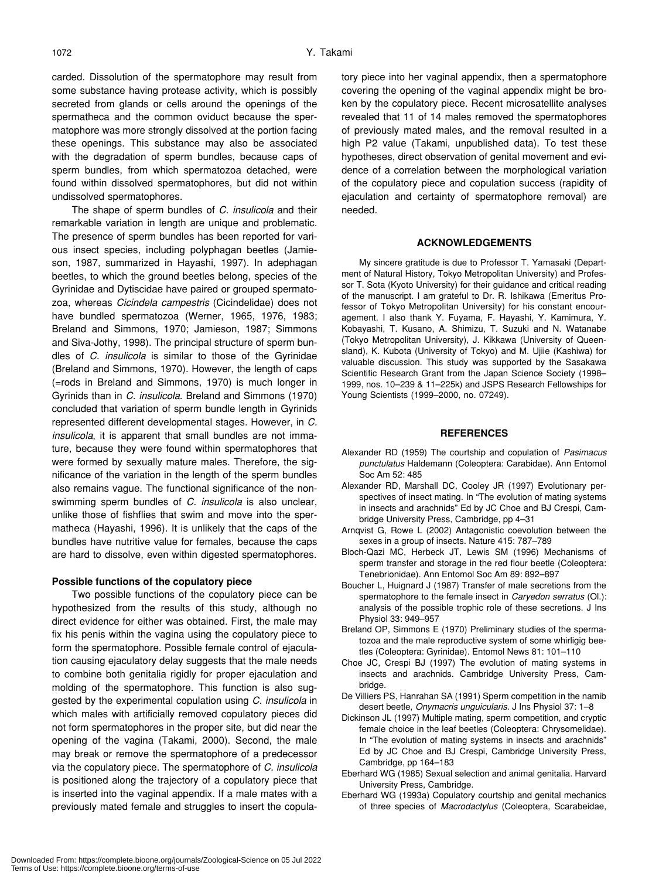carded. Dissolution of the spermatophore may result from some substance having protease activity, which is possibly secreted from glands or cells around the openings of the spermatheca and the common oviduct because the spermatophore was more strongly dissolved at the portion facing these openings. This substance may also be associated with the degradation of sperm bundles, because caps of sperm bundles, from which spermatozoa detached, were found within dissolved spermatophores, but did not within undissolved spermatophores.

The shape of sperm bundles of *C. insulicola* and their remarkable variation in length are unique and problematic. The presence of sperm bundles has been reported for various insect species, including polyphagan beetles (Jamieson, 1987, summarized in Hayashi, 1997). In adephagan beetles, to which the ground beetles belong, species of the Gyrinidae and Dytiscidae have paired or grouped spermatozoa, whereas *Cicindela campestris* (Cicindelidae) does not have bundled spermatozoa (Werner, 1965, 1976, 1983; Breland and Simmons, 1970; Jamieson, 1987; Simmons and Siva-Jothy, 1998). The principal structure of sperm bundles of *C. insulicola* is similar to those of the Gyrinidae (Breland and Simmons, 1970). However, the length of caps (=rods in Breland and Simmons, 1970) is much longer in Gyrinids than in *C. insulicola*. Breland and Simmons (1970) concluded that variation of sperm bundle length in Gyrinids represented different developmental stages. However, in *C. insulicola*, it is apparent that small bundles are not immature, because they were found within spermatophores that were formed by sexually mature males. Therefore, the significance of the variation in the length of the sperm bundles also remains vague. The functional significance of the nonswimming sperm bundles of *C. insulicola* is also unclear, unlike those of fishflies that swim and move into the spermatheca (Hayashi, 1996). It is unlikely that the caps of the bundles have nutritive value for females, because the caps are hard to dissolve, even within digested spermatophores.

# **Possible functions of the copulatory piece**

Two possible functions of the copulatory piece can be hypothesized from the results of this study, although no direct evidence for either was obtained. First, the male may fix his penis within the vagina using the copulatory piece to form the spermatophore. Possible female control of ejaculation causing ejaculatory delay suggests that the male needs to combine both genitalia rigidly for proper ejaculation and molding of the spermatophore. This function is also suggested by the experimental copulation using *C. insulicola* in which males with artificially removed copulatory pieces did not form spermatophores in the proper site, but did near the opening of the vagina (Takami, 2000). Second, the male may break or remove the spermatophore of a predecessor via the copulatory piece. The spermatophore of *C. insulicola* is positioned along the trajectory of a copulatory piece that is inserted into the vaginal appendix. If a male mates with a previously mated female and struggles to insert the copulatory piece into her vaginal appendix, then a spermatophore covering the opening of the vaginal appendix might be broken by the copulatory piece. Recent microsatellite analyses revealed that 11 of 14 males removed the spermatophores of previously mated males, and the removal resulted in a high P2 value (Takami, unpublished data). To test these hypotheses, direct observation of genital movement and evidence of a correlation between the morphological variation of the copulatory piece and copulation success (rapidity of ejaculation and certainty of spermatophore removal) are needed.

# **ACKNOWLEDGEMENTS**

My sincere gratitude is due to Professor T. Yamasaki (Department of Natural History, Tokyo Metropolitan University) and Professor T. Sota (Kyoto University) for their guidance and critical reading of the manuscript. I am grateful to Dr. R. Ishikawa (Emeritus Professor of Tokyo Metropolitan University) for his constant encouragement. I also thank Y. Fuyama, F. Hayashi, Y. Kamimura, Y. Kobayashi, T. Kusano, A. Shimizu, T. Suzuki and N. Watanabe (Tokyo Metropolitan University), J. Kikkawa (University of Queensland), K. Kubota (University of Tokyo) and M. Ujiie (Kashiwa) for valuable discussion. This study was supported by the Sasakawa Scientific Research Grant from the Japan Science Society (1998– 1999, nos. 10–239 & 11–225k) and JSPS Research Fellowships for Young Scientists (1999–2000, no. 07249).

# **REFERENCES**

- Alexander RD (1959) The courtship and copulation of *Pasimacus punctulatus* Haldemann (Coleoptera: Carabidae). Ann Entomol Soc Am 52: 485
- Alexander RD, Marshall DC, Cooley JR (1997) Evolutionary perspectives of insect mating. In "The evolution of mating systems in insects and arachnids" Ed by JC Choe and BJ Crespi, Cambridge University Press, Cambridge, pp 4–31
- Arnqvist G, Rowe L (2002) Antagonistic coevolution between the sexes in a group of insects. Nature 415: 787–789
- Bloch-Qazi MC, Herbeck JT, Lewis SM (1996) Mechanisms of sperm transfer and storage in the red flour beetle (Coleoptera: Tenebrionidae). Ann Entomol Soc Am 89: 892–897
- Boucher L, Huignard J (1987) Transfer of male secretions from the spermatophore to the female insect in *Caryedon serratus* (Ol.): analysis of the possible trophic role of these secretions. J Ins Physiol 33: 949–957
- Breland OP, Simmons E (1970) Preliminary studies of the spermatozoa and the male reproductive system of some whirligig beetles (Coleoptera: Gyrinidae). Entomol News 81: 101–110
- Choe JC, Crespi BJ (1997) The evolution of mating systems in insects and arachnids. Cambridge University Press, Cambridge.
- De Villiers PS, Hanrahan SA (1991) Sperm competition in the namib desert beetle, *Onymacris unguicularis*. J Ins Physiol 37: 1–8
- Dickinson JL (1997) Multiple mating, sperm competition, and cryptic female choice in the leaf beetles (Coleoptera: Chrysomelidae). In "The evolution of mating systems in insects and arachnids" Ed by JC Choe and BJ Crespi, Cambridge University Press, Cambridge, pp 164–183
- Eberhard WG (1985) Sexual selection and animal genitalia. Harvard University Press, Cambridge.
- Eberhard WG (1993a) Copulatory courtship and genital mechanics of three species of *Macrodactylus* (Coleoptera, Scarabeidae,